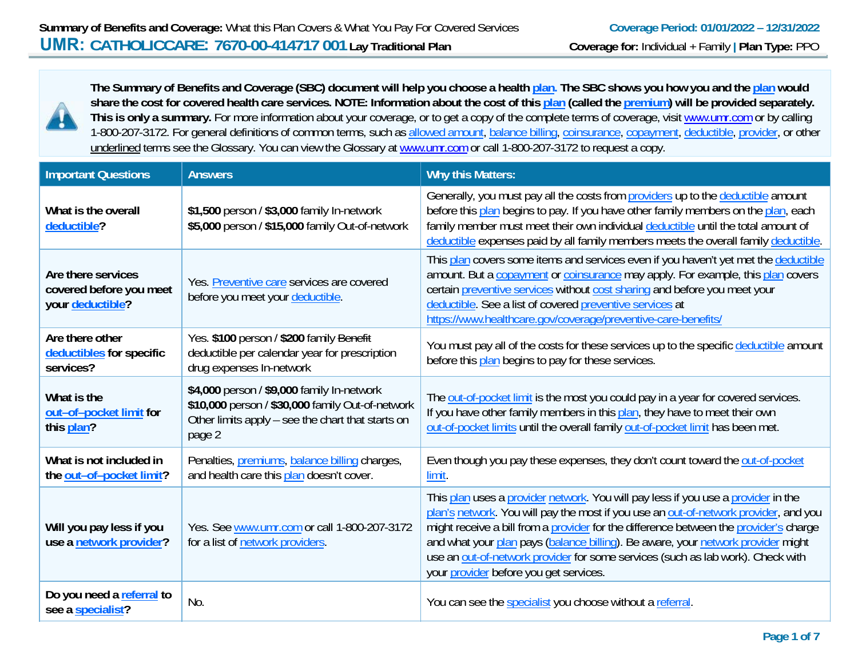

**The Summary of Benefits and Coverage (SBC) document will help you choose a health plan. The SBC shows you how you and the plan would share the cost for covered health care services. NOTE: Information about the cost of this plan (called the premium) will be provided separately.**  This is only a summary. For more information about your coverage, or to get a copy of the complete terms of coverage, visit www.umr.com or by calling 1-800-207-3172. For general definitions of common terms, such as allowed amount, balance billing, coinsurance, copayment, deductible, provider, or other underlined terms see the Glossary. You can view the Glossary at www.umr.com or call 1-800-207-3172 to request a copy.

| <b>Important Questions</b>                                        | <b>Answers</b>                                                                                                                                                | <b>Why this Matters:</b>                                                                                                                                                                                                                                                                                                                                                                                                                                                            |
|-------------------------------------------------------------------|---------------------------------------------------------------------------------------------------------------------------------------------------------------|-------------------------------------------------------------------------------------------------------------------------------------------------------------------------------------------------------------------------------------------------------------------------------------------------------------------------------------------------------------------------------------------------------------------------------------------------------------------------------------|
| What is the overall<br>deductible?                                | \$1,500 person / \$3,000 family In-network<br>\$5,000 person / \$15,000 family Out-of-network                                                                 | Generally, you must pay all the costs from providers up to the deductible amount<br>before this plan begins to pay. If you have other family members on the plan, each<br>family member must meet their own individual deductible until the total amount of<br>deductible expenses paid by all family members meets the overall family deductible.                                                                                                                                  |
| Are there services<br>covered before you meet<br>your deductible? | Yes. Preventive care services are covered<br>before you meet your deductible.                                                                                 | This plan covers some items and services even if you haven't yet met the deductible<br>amount. But a copayment or coinsurance may apply. For example, this plan covers<br>certain preventive services without cost sharing and before you meet your<br>deductible. See a list of covered preventive services at<br>https://www.healthcare.gov/coverage/preventive-care-benefits/                                                                                                    |
| Are there other<br>deductibles for specific<br>services?          | Yes. \$100 person / \$200 family Benefit<br>deductible per calendar year for prescription<br>drug expenses In-network                                         | You must pay all of the costs for these services up to the specific deductible amount<br>before this plan begins to pay for these services.                                                                                                                                                                                                                                                                                                                                         |
| What is the<br>out-of-pocket limit for<br>this plan?              | \$4,000 person / \$9,000 family In-network<br>\$10,000 person / \$30,000 family Out-of-network<br>Other limits apply – see the chart that starts on<br>page 2 | The out-of-pocket limit is the most you could pay in a year for covered services.<br>If you have other family members in this plan, they have to meet their own<br>out-of-pocket limits until the overall family out-of-pocket limit has been met.                                                                                                                                                                                                                                  |
| What is not included in<br>the out-of-pocket limit?               | Penalties, premiums, balance billing charges,<br>and health care this plan doesn't cover.                                                                     | Even though you pay these expenses, they don't count toward the out-of-pocket<br>limit.                                                                                                                                                                                                                                                                                                                                                                                             |
| Will you pay less if you<br>use a network provider?               | Yes. See www.umr.com or call 1-800-207-3172<br>for a list of network providers.                                                                               | This plan uses a provider network. You will pay less if you use a provider in the<br>plan's network. You will pay the most if you use an out-of-network provider, and you<br>might receive a bill from a provider for the difference between the provider's charge<br>and what your plan pays (balance billing). Be aware, your network provider might<br>use an out-of-network provider for some services (such as lab work). Check with<br>your provider before you get services. |
| Do you need a referral to<br>see a specialist?                    | No.                                                                                                                                                           | You can see the specialist you choose without a referral.                                                                                                                                                                                                                                                                                                                                                                                                                           |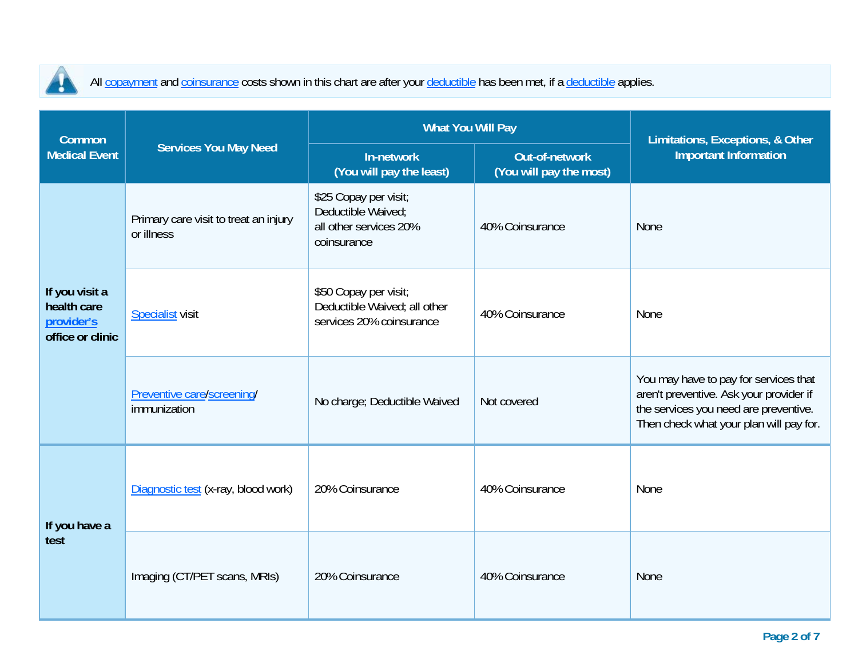

All copayment and coinsurance costs shown in this chart are after your deductible has been met, if a deductible applies.

| <b>Common</b>                                                   |                                                     | <b>What You Will Pay</b>                                                             | Limitations, Exceptions, & Other          |                                                                                                                                                                      |  |
|-----------------------------------------------------------------|-----------------------------------------------------|--------------------------------------------------------------------------------------|-------------------------------------------|----------------------------------------------------------------------------------------------------------------------------------------------------------------------|--|
| <b>Medical Event</b>                                            | <b>Services You May Need</b>                        | In-network<br>(You will pay the least)                                               | Out-of-network<br>(You will pay the most) | <b>Important Information</b>                                                                                                                                         |  |
| If you visit a<br>health care<br>provider's<br>office or clinic | Primary care visit to treat an injury<br>or illness | \$25 Copay per visit;<br>Deductible Waived;<br>all other services 20%<br>coinsurance | 40% Coinsurance                           | None                                                                                                                                                                 |  |
|                                                                 | <b>Specialist visit</b>                             | \$50 Copay per visit;<br>Deductible Waived; all other<br>services 20% coinsurance    | 40% Coinsurance                           | None                                                                                                                                                                 |  |
|                                                                 | Preventive care/screening/<br>immunization          | No charge; Deductible Waived                                                         | Not covered                               | You may have to pay for services that<br>aren't preventive. Ask your provider if<br>the services you need are preventive.<br>Then check what your plan will pay for. |  |
| If you have a<br>test                                           | Diagnostic test (x-ray, blood work)                 | 20% Coinsurance                                                                      | 40% Coinsurance                           | None                                                                                                                                                                 |  |
|                                                                 | Imaging (CT/PET scans, MRIs)                        | 20% Coinsurance                                                                      | 40% Coinsurance                           | <b>None</b>                                                                                                                                                          |  |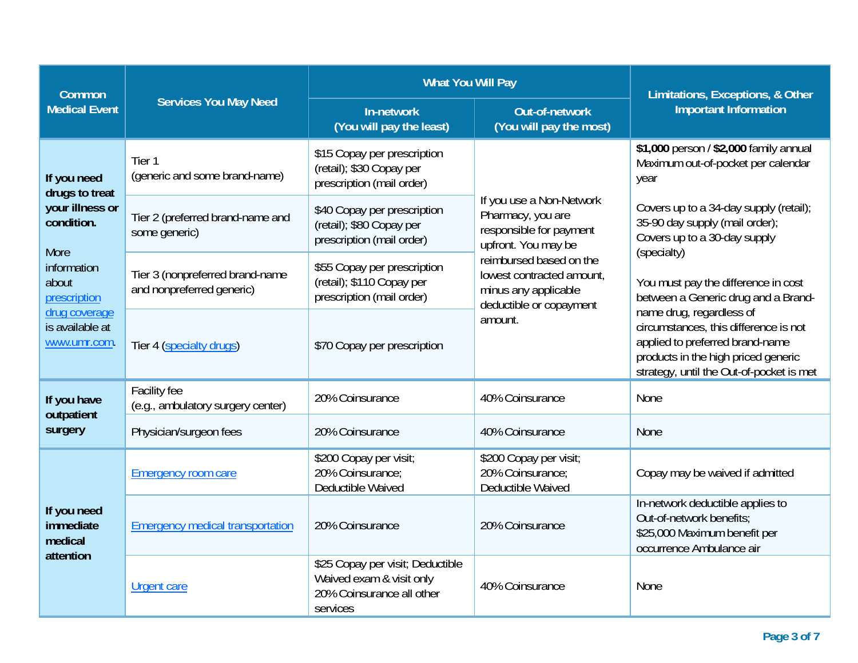| <b>Common</b>                                                  |                                                              | <b>What You Will Pay</b>                                                                              | Limitations, Exceptions, & Other                                                                        |                                                                                                                                                                                         |  |
|----------------------------------------------------------------|--------------------------------------------------------------|-------------------------------------------------------------------------------------------------------|---------------------------------------------------------------------------------------------------------|-----------------------------------------------------------------------------------------------------------------------------------------------------------------------------------------|--|
| <b>Medical Event</b>                                           | <b>Services You May Need</b>                                 | In-network<br>(You will pay the least)                                                                | <b>Out-of-network</b><br>(You will pay the most)                                                        | <b>Important Information</b>                                                                                                                                                            |  |
| If you need<br>drugs to treat<br>your illness or<br>condition. | Tier <sub>1</sub><br>(generic and some brand-name)           | \$15 Copay per prescription<br>(retail); \$30 Copay per<br>prescription (mail order)                  |                                                                                                         | \$1,000 person / \$2,000 family annual<br>Maximum out-of-pocket per calendar<br>year                                                                                                    |  |
|                                                                | Tier 2 (preferred brand-name and<br>some generic)            | \$40 Copay per prescription<br>(retail); \$80 Copay per<br>prescription (mail order)                  | If you use a Non-Network<br>Pharmacy, you are<br>responsible for payment<br>upfront. You may be         | Covers up to a 34-day supply (retail);<br>35-90 day supply (mail order);<br>Covers up to a 30-day supply                                                                                |  |
| More<br>information<br>about<br>prescription                   | Tier 3 (nonpreferred brand-name<br>and nonpreferred generic) | \$55 Copay per prescription<br>(retail); \$110 Copay per<br>prescription (mail order)                 | reimbursed based on the<br>lowest contracted amount,<br>minus any applicable<br>deductible or copayment | (specialty)<br>You must pay the difference in cost<br>between a Generic drug and a Brand-                                                                                               |  |
| drug coverage<br>is available at<br>www.umr.com.               | Tier 4 (specialty drugs)                                     | \$70 Copay per prescription                                                                           | amount.                                                                                                 | name drug, regardless of<br>circumstances, this difference is not<br>applied to preferred brand-name<br>products in the high priced generic<br>strategy, until the Out-of-pocket is met |  |
| If you have<br>outpatient                                      | Facility fee<br>(e.g., ambulatory surgery center)            | 20% Coinsurance                                                                                       | 40% Coinsurance                                                                                         | None                                                                                                                                                                                    |  |
| surgery                                                        | Physician/surgeon fees                                       | 20% Coinsurance                                                                                       | 40% Coinsurance                                                                                         | <b>None</b>                                                                                                                                                                             |  |
| If you need<br>immediate<br>medical<br>attention               | <b>Emergency room care</b>                                   | \$200 Copay per visit;<br>20% Coinsurance:<br>Deductible Waived                                       | \$200 Copay per visit;<br>20% Coinsurance:<br>Deductible Waived                                         | Copay may be waived if admitted                                                                                                                                                         |  |
|                                                                | <b>Emergency medical transportation</b>                      | 20% Coinsurance                                                                                       | 20% Coinsurance                                                                                         | In-network deductible applies to<br>Out-of-network benefits:<br>\$25,000 Maximum benefit per<br>occurrence Ambulance air                                                                |  |
|                                                                | <b>Urgent care</b>                                           | \$25 Copay per visit; Deductible<br>Waived exam & visit only<br>20% Coinsurance all other<br>services | 40% Coinsurance                                                                                         | None                                                                                                                                                                                    |  |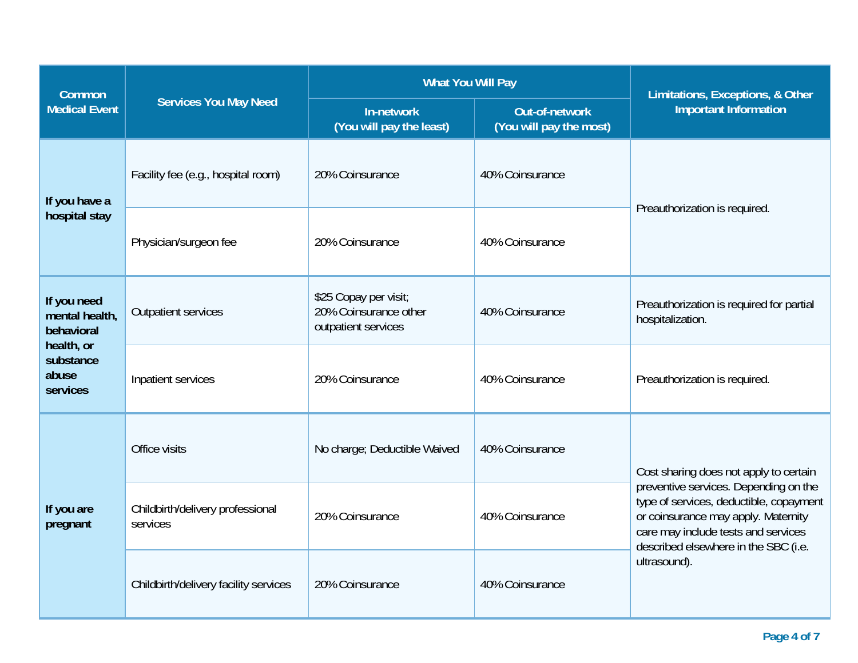| <b>Common</b>                                                                               |                                              | <b>What You Will Pay</b>                                              | Limitations, Exceptions, & Other          |                                                                                                                                                                                                                                                  |  |
|---------------------------------------------------------------------------------------------|----------------------------------------------|-----------------------------------------------------------------------|-------------------------------------------|--------------------------------------------------------------------------------------------------------------------------------------------------------------------------------------------------------------------------------------------------|--|
| <b>Medical Event</b>                                                                        | <b>Services You May Need</b>                 | In-network<br>(You will pay the least)                                | Out-of-network<br>(You will pay the most) | <b>Important Information</b>                                                                                                                                                                                                                     |  |
| If you have a                                                                               | Facility fee (e.g., hospital room)           | 20% Coinsurance                                                       | 40% Coinsurance                           | Preauthorization is required.                                                                                                                                                                                                                    |  |
| hospital stay                                                                               | Physician/surgeon fee                        | 20% Coinsurance                                                       | 40% Coinsurance                           |                                                                                                                                                                                                                                                  |  |
| If you need<br>mental health,<br>behavioral<br>health, or<br>substance<br>abuse<br>services | <b>Outpatient services</b>                   | \$25 Copay per visit;<br>20% Coinsurance other<br>outpatient services | 40% Coinsurance                           | Preauthorization is required for partial<br>hospitalization.                                                                                                                                                                                     |  |
|                                                                                             | Inpatient services                           | 20% Coinsurance                                                       | 40% Coinsurance                           | Preauthorization is required.                                                                                                                                                                                                                    |  |
| If you are<br>pregnant                                                                      | Office visits                                | No charge; Deductible Waived                                          | 40% Coinsurance                           | Cost sharing does not apply to certain<br>preventive services. Depending on the<br>type of services, deductible, copayment<br>or coinsurance may apply. Maternity<br>care may include tests and services<br>described elsewhere in the SBC (i.e. |  |
|                                                                                             | Childbirth/delivery professional<br>services | 20% Coinsurance                                                       | 40% Coinsurance                           |                                                                                                                                                                                                                                                  |  |
|                                                                                             | Childbirth/delivery facility services        | 20% Coinsurance                                                       | 40% Coinsurance                           | ultrasound).                                                                                                                                                                                                                                     |  |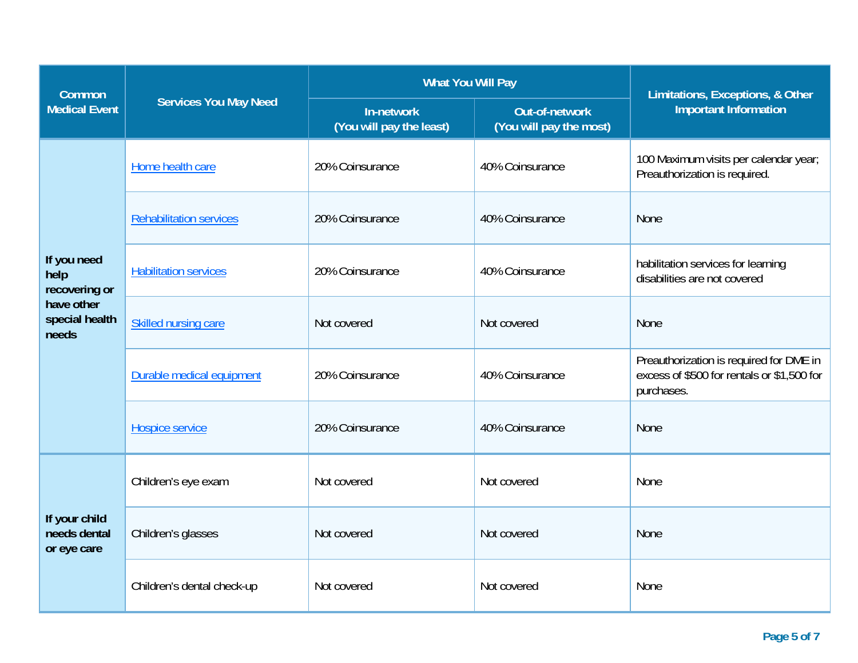| <b>Common</b>                                |                                | <b>What You Will Pay</b>               | Limitations, Exceptions, & Other                 |                                                                                                     |  |
|----------------------------------------------|--------------------------------|----------------------------------------|--------------------------------------------------|-----------------------------------------------------------------------------------------------------|--|
| <b>Medical Event</b>                         | <b>Services You May Need</b>   | In-network<br>(You will pay the least) | <b>Out-of-network</b><br>(You will pay the most) | <b>Important Information</b>                                                                        |  |
|                                              | Home health care               | 20% Coinsurance                        | 40% Coinsurance                                  | 100 Maximum visits per calendar year;<br>Preauthorization is required.                              |  |
|                                              | <b>Rehabilitation services</b> | 20% Coinsurance                        | 40% Coinsurance                                  | None                                                                                                |  |
| If you need<br>help<br>recovering or         | <b>Habilitation services</b>   | 20% Coinsurance                        | 40% Coinsurance                                  | habilitation services for learning<br>disabilities are not covered                                  |  |
| have other<br>special health<br>needs        | Skilled nursing care           | Not covered                            | Not covered                                      | None                                                                                                |  |
|                                              | Durable medical equipment      | 20% Coinsurance                        | 40% Coinsurance                                  | Preauthorization is required for DME in<br>excess of \$500 for rentals or \$1,500 for<br>purchases. |  |
|                                              | Hospice service                | 20% Coinsurance                        | 40% Coinsurance                                  | None                                                                                                |  |
| If your child<br>needs dental<br>or eye care | Children's eye exam            | Not covered                            | Not covered                                      | None                                                                                                |  |
|                                              | Children's glasses             | Not covered                            | Not covered                                      | None                                                                                                |  |
|                                              | Children's dental check-up     | Not covered                            | Not covered                                      | None                                                                                                |  |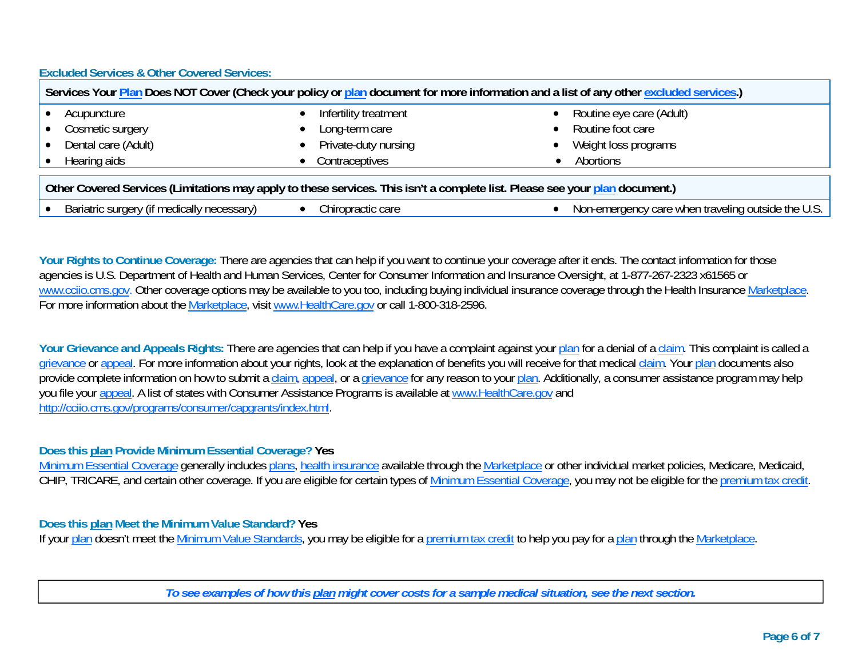**Excluded Services & Other Covered Services:** 

| Services Your Plan Does NOT Cover (Check your policy or plan document for more information and a list of any other excluded services.) |                       |                          |  |  |
|----------------------------------------------------------------------------------------------------------------------------------------|-----------------------|--------------------------|--|--|
| Acupuncture                                                                                                                            | Infertility treatment | Routine eye care (Adult) |  |  |
| Cosmetic surgery                                                                                                                       | Long-term care        | Routine foot care        |  |  |
| Dental care (Adult)                                                                                                                    | Private-duty nursing  | Weight loss programs     |  |  |
| Hearing aids                                                                                                                           | Contraceptives        | Abortions                |  |  |
| Other Covered Services (Limitations may apply to these services. This isn't a complete list. Please see your plan document.)           |                       |                          |  |  |

| $\sim$ $\sim$ $\sim$ $\sim$ $\sim$ $\sim$<br>adically.<br>ne<br>Bariatric<br>unccu<br>u<br>u | care<br>nractic<br>dullu.<br>.<br>JU. | th⊦<br><b>ALITOLA</b><br><sup>tr</sup> aven.<br>∖l∩r<br>∩lin∩<br>111<br>amar∩an∩u<br>isiue<br><br>111 I U<br>vur<br>.<br>ง เ<br>$\cdots$<br>$\cdot$ . $\cdot$ . |
|----------------------------------------------------------------------------------------------|---------------------------------------|-----------------------------------------------------------------------------------------------------------------------------------------------------------------|

Your Rights to Continue Coverage: There are agencies that can help if you want to continue your coverage after it ends. The contact information for those agencies is U.S. Department of Health and Human Services, Center for Consumer Information and Insurance Oversight, at 1-877-267-2323 x61565 or www.cciio.cms.gov. Other coverage options may be available to you too, including buying individual insurance coverage through the Health Insurance Marketplace. For more information about the Marketplace, visit www.HealthCare.gov or call 1-800-318-2596.

Your Grievance and Appeals Rights: There are agencies that can help if you have a complaint against your plan for a denial of a claim. This complaint is called a grievance or appeal. For more information about your rights, look at the explanation of benefits you will receive for that medical claim. Your plan documents also provide complete information on how to submit a claim, appeal, or a grievance for any reason to your plan. Additionally, a consumer assistance program may help you file your appeal. A list of states with Consumer Assistance Programs is available at www.HealthCare.gov and http://cciio.cms.gov/programs/consumer/capgrants/index.html.

## **Does this plan Provide Minimum Essential Coverage? Yes**

Minimum Essential Coverage generally includes plans, health insurance available through the Marketplace or other individual market policies, Medicare, Medicaid, CHIP, TRICARE, and certain other coverage. If you are eligible for certain types of Minimum Essential Coverage, you may not be eligible for the premium tax credit.

## **Does this plan Meet the Minimum Value Standard? Yes**

If your plan doesn't meet the Minimum Value Standards, you may be eligible for a premium tax credit to help you pay for a plan through the Marketplace.

*To see examples of how this plan might cover costs for a sample medical situation, see the next section.*